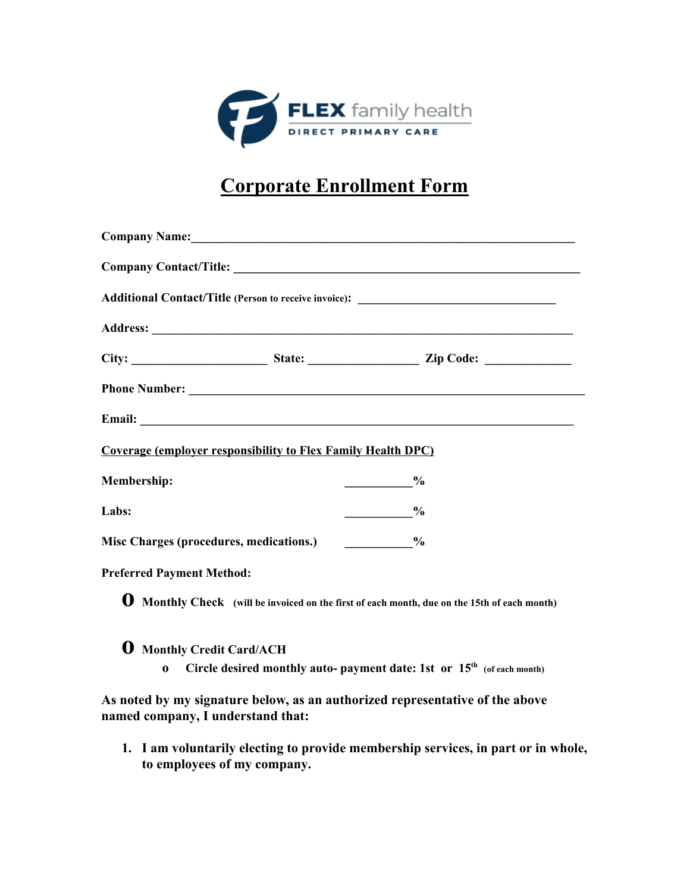

## **Corporate Enrollment Form**

|                                                                     | Company Name: 2008 Company Name:                                                                    |  |
|---------------------------------------------------------------------|-----------------------------------------------------------------------------------------------------|--|
|                                                                     |                                                                                                     |  |
|                                                                     |                                                                                                     |  |
|                                                                     |                                                                                                     |  |
|                                                                     |                                                                                                     |  |
|                                                                     |                                                                                                     |  |
|                                                                     |                                                                                                     |  |
| <b>Coverage (employer responsibility to Flex Family Health DPC)</b> |                                                                                                     |  |
| Membership:                                                         | $\sim$ $\frac{\%}{\%}$                                                                              |  |
| Labs:                                                               | $\frac{0}{0}$                                                                                       |  |
| Misc Charges (procedures, medications.)                             | $\sim$ $\sim$ $\sim$ $\sim$ $\sim$                                                                  |  |
| <b>Preferred Payment Method:</b>                                    |                                                                                                     |  |
|                                                                     | <b>O</b> Monthly Check (will be invoiced on the first of each month, due on the 15th of each month) |  |
| <b>Q</b> Monthly Credit Card/ACH                                    |                                                                                                     |  |
| $\bf{0}$                                                            | Circle desired monthly auto- payment date: 1st or 15 <sup>th</sup> (of each month)                  |  |

**As noted by my signature below, as an authorized representative of the above named company, I understand that:**

**1. I am voluntarily electing to provide membership services, in part or in whole, to employees of my company.**